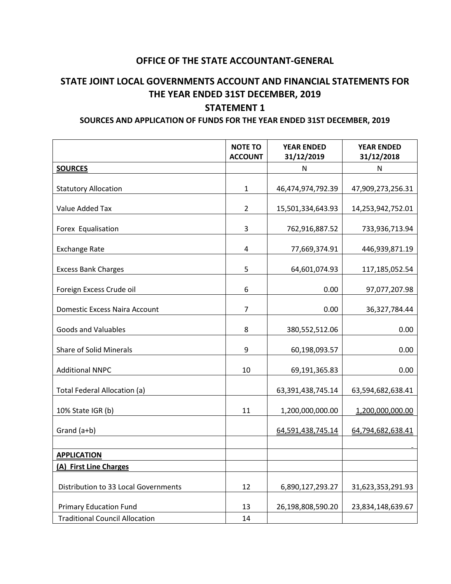## **OFFICE OF THE STATE ACCOUNTANT-GENERAL**

## **STATE JOINT LOCAL GOVERNMENTS ACCOUNT AND FINANCIAL STATEMENTS FOR THE YEAR ENDED 31ST DECEMBER, 2019**

## **STATEMENT 1**

## **SOURCES AND APPLICATION OF FUNDS FOR THE YEAR ENDED 31ST DECEMBER, 2019**

|                                       | <b>NOTE TO</b> | <b>YEAR ENDED</b> | <b>YEAR ENDED</b> |
|---------------------------------------|----------------|-------------------|-------------------|
|                                       | <b>ACCOUNT</b> | 31/12/2019        | 31/12/2018        |
| <b>SOURCES</b>                        |                | N                 | N                 |
| <b>Statutory Allocation</b>           | $\mathbf{1}$   | 46,474,974,792.39 | 47,909,273,256.31 |
| Value Added Tax                       | $\overline{2}$ | 15,501,334,643.93 | 14,253,942,752.01 |
| Forex Equalisation                    | 3              | 762,916,887.52    | 733,936,713.94    |
| <b>Exchange Rate</b>                  | 4              | 77,669,374.91     | 446,939,871.19    |
| <b>Excess Bank Charges</b>            | 5              | 64,601,074.93     | 117,185,052.54    |
| Foreign Excess Crude oil              | 6              | 0.00              | 97,077,207.98     |
| Domestic Excess Naira Account         | 7              | 0.00              | 36,327,784.44     |
| <b>Goods and Valuables</b>            | 8              | 380,552,512.06    | 0.00              |
| Share of Solid Minerals               | 9              | 60,198,093.57     | 0.00              |
| <b>Additional NNPC</b>                | 10             | 69,191,365.83     | 0.00              |
| Total Federal Allocation (a)          |                | 63,391,438,745.14 | 63,594,682,638.41 |
| 10% State IGR (b)                     | 11             | 1,200,000,000.00  | 1,200,000,000.00  |
| Grand (a+b)                           |                | 64,591,438,745.14 | 64,794,682,638.41 |
| <b>APPLICATION</b>                    |                |                   |                   |
| (A) First Line Charges                |                |                   |                   |
| Distribution to 33 Local Governments  | 12             | 6,890,127,293.27  | 31,623,353,291.93 |
| <b>Primary Education Fund</b>         | 13             | 26,198,808,590.20 | 23,834,148,639.67 |
| <b>Traditional Council Allocation</b> | 14             |                   |                   |